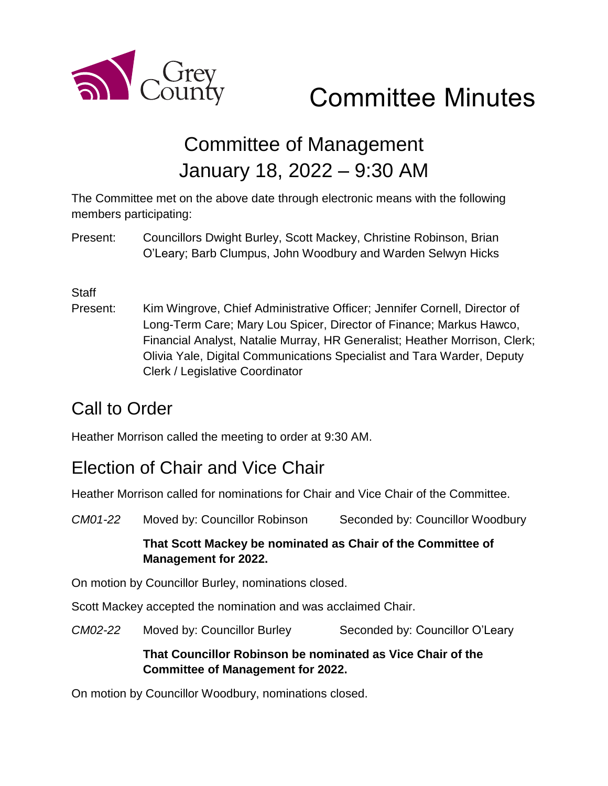

# Committee Minutes

## Committee of Management January 18, 2022 – 9:30 AM

The Committee met on the above date through electronic means with the following members participating:

Present: Councillors Dwight Burley, Scott Mackey, Christine Robinson, Brian O'Leary; Barb Clumpus, John Woodbury and Warden Selwyn Hicks

#### **Staff**

Present: Kim Wingrove, Chief Administrative Officer; Jennifer Cornell, Director of Long-Term Care; Mary Lou Spicer, Director of Finance; Markus Hawco, Financial Analyst, Natalie Murray, HR Generalist; Heather Morrison, Clerk; Olivia Yale, Digital Communications Specialist and Tara Warder, Deputy Clerk / Legislative Coordinator

#### Call to Order

Heather Morrison called the meeting to order at 9:30 AM.

#### Election of Chair and Vice Chair

Heather Morrison called for nominations for Chair and Vice Chair of the Committee.

*CM01-22* Moved by: Councillor Robinson Seconded by: Councillor Woodbury **That Scott Mackey be nominated as Chair of the Committee of Management for 2022.**  On motion by Councillor Burley, nominations closed. Scott Mackey accepted the nomination and was acclaimed Chair. *CM02-22* Moved by: Councillor Burley Seconded by: Councillor O'Leary **That Councillor Robinson be nominated as Vice Chair of the Committee of Management for 2022.**

On motion by Councillor Woodbury, nominations closed.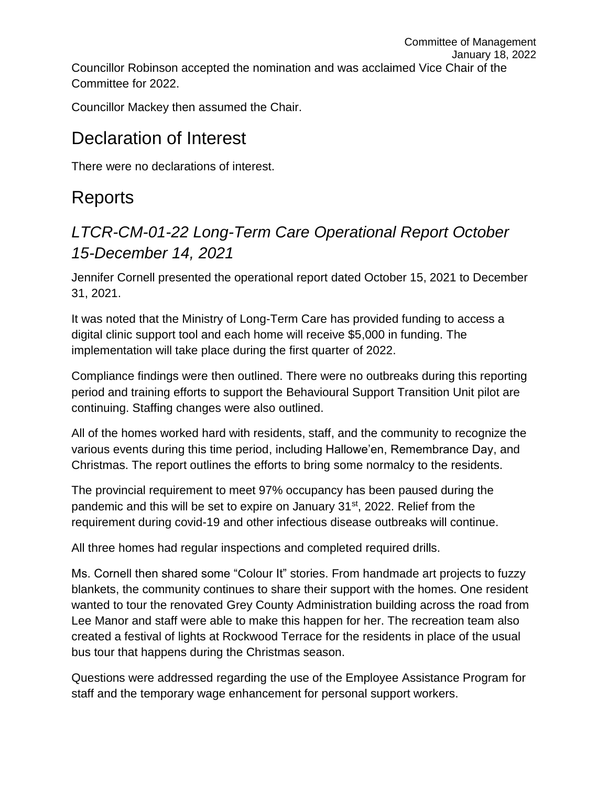Committee of Management January 18, 2022 Councillor Robinson accepted the nomination and was acclaimed Vice Chair of the Committee for 2022.

Councillor Mackey then assumed the Chair.

#### Declaration of Interest

There were no declarations of interest.

## Reports

#### *LTCR-CM-01-22 Long-Term Care Operational Report October 15-December 14, 2021*

Jennifer Cornell presented the operational report dated October 15, 2021 to December 31, 2021.

It was noted that the Ministry of Long-Term Care has provided funding to access a digital clinic support tool and each home will receive \$5,000 in funding. The implementation will take place during the first quarter of 2022.

Compliance findings were then outlined. There were no outbreaks during this reporting period and training efforts to support the Behavioural Support Transition Unit pilot are continuing. Staffing changes were also outlined.

All of the homes worked hard with residents, staff, and the community to recognize the various events during this time period, including Hallowe'en, Remembrance Day, and Christmas. The report outlines the efforts to bring some normalcy to the residents.

The provincial requirement to meet 97% occupancy has been paused during the pandemic and this will be set to expire on January 31st, 2022. Relief from the requirement during covid-19 and other infectious disease outbreaks will continue.

All three homes had regular inspections and completed required drills.

Ms. Cornell then shared some "Colour It" stories. From handmade art projects to fuzzy blankets, the community continues to share their support with the homes. One resident wanted to tour the renovated Grey County Administration building across the road from Lee Manor and staff were able to make this happen for her. The recreation team also created a festival of lights at Rockwood Terrace for the residents in place of the usual bus tour that happens during the Christmas season.

Questions were addressed regarding the use of the Employee Assistance Program for staff and the temporary wage enhancement for personal support workers.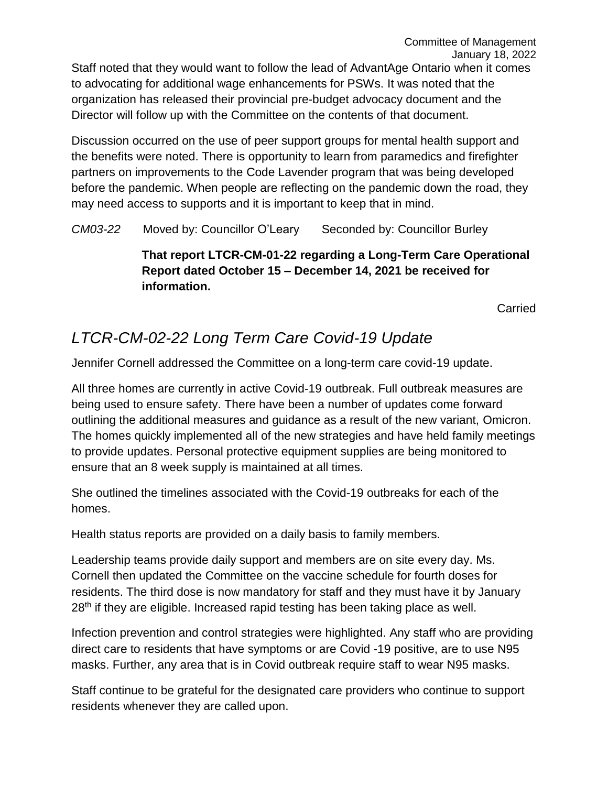Staff noted that they would want to follow the lead of AdvantAge Ontario when it comes to advocating for additional wage enhancements for PSWs. It was noted that the organization has released their provincial pre-budget advocacy document and the Director will follow up with the Committee on the contents of that document.

Discussion occurred on the use of peer support groups for mental health support and the benefits were noted. There is opportunity to learn from paramedics and firefighter partners on improvements to the Code Lavender program that was being developed before the pandemic. When people are reflecting on the pandemic down the road, they may need access to supports and it is important to keep that in mind.

*CM03-22* Moved by: Councillor O'Leary Seconded by: Councillor Burley

**That report LTCR-CM-01-22 regarding a Long-Term Care Operational Report dated October 15 – December 14, 2021 be received for information.** 

Carried

#### *LTCR-CM-02-22 Long Term Care Covid-19 Update*

Jennifer Cornell addressed the Committee on a long-term care covid-19 update.

All three homes are currently in active Covid-19 outbreak. Full outbreak measures are being used to ensure safety. There have been a number of updates come forward outlining the additional measures and guidance as a result of the new variant, Omicron. The homes quickly implemented all of the new strategies and have held family meetings to provide updates. Personal protective equipment supplies are being monitored to ensure that an 8 week supply is maintained at all times.

She outlined the timelines associated with the Covid-19 outbreaks for each of the homes.

Health status reports are provided on a daily basis to family members.

Leadership teams provide daily support and members are on site every day. Ms. Cornell then updated the Committee on the vaccine schedule for fourth doses for residents. The third dose is now mandatory for staff and they must have it by January 28<sup>th</sup> if they are eligible. Increased rapid testing has been taking place as well.

Infection prevention and control strategies were highlighted. Any staff who are providing direct care to residents that have symptoms or are Covid -19 positive, are to use N95 masks. Further, any area that is in Covid outbreak require staff to wear N95 masks.

Staff continue to be grateful for the designated care providers who continue to support residents whenever they are called upon.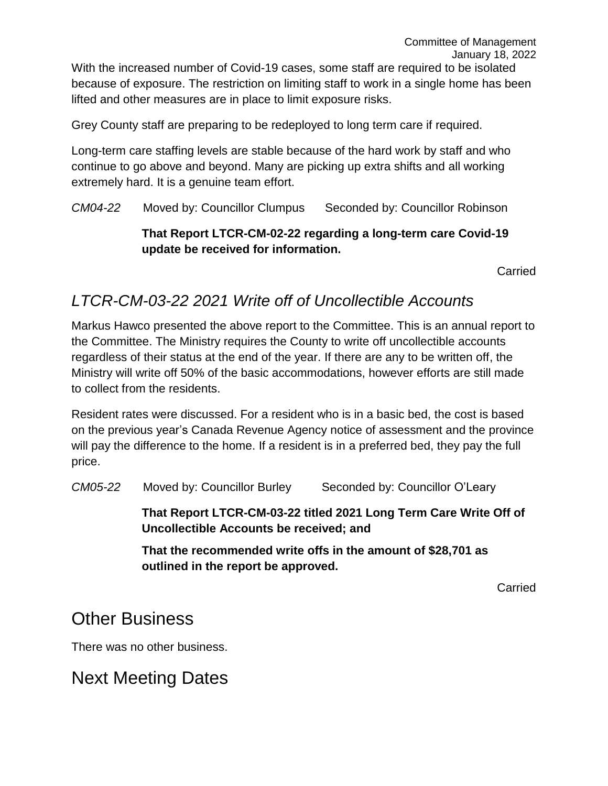Grey County staff are preparing to be redeployed to long term care if required.

Long-term care staffing levels are stable because of the hard work by staff and who continue to go above and beyond. Many are picking up extra shifts and all working extremely hard. It is a genuine team effort.

*CM04-22* Moved by: Councillor Clumpus Seconded by: Councillor Robinson

#### **That Report LTCR-CM-02-22 regarding a long-term care Covid-19 update be received for information.**

Carried

Committee of Management

#### *LTCR-CM-03-22 2021 Write off of Uncollectible Accounts*

Markus Hawco presented the above report to the Committee. This is an annual report to the Committee. The Ministry requires the County to write off uncollectible accounts regardless of their status at the end of the year. If there are any to be written off, the Ministry will write off 50% of the basic accommodations, however efforts are still made to collect from the residents.

Resident rates were discussed. For a resident who is in a basic bed, the cost is based on the previous year's Canada Revenue Agency notice of assessment and the province will pay the difference to the home. If a resident is in a preferred bed, they pay the full price.

*CM05-22* Moved by: Councillor Burley Seconded by: Councillor O'Leary

**That Report LTCR-CM-03-22 titled 2021 Long Term Care Write Off of Uncollectible Accounts be received; and**

**That the recommended write offs in the amount of \$28,701 as outlined in the report be approved.**

Carried

#### Other Business

There was no other business.

### Next Meeting Dates